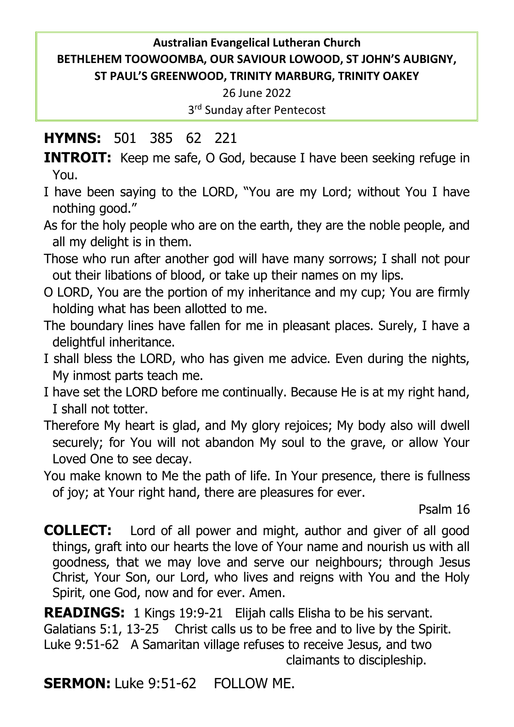### **Australian Evangelical Lutheran Church BETHLEHEM TOOWOOMBA, OUR SAVIOUR LOWOOD, ST JOHN'S AUBIGNY, ST PAUL'S GREENWOOD, TRINITY MARBURG, TRINITY OAKEY**

26 June 2022

3 rd Sunday after Pentecost

# **HYMNS:** 501 385 62 221

**INTROIT:** Keep me safe, O God, because I have been seeking refuge in You.

- I have been saying to the LORD, "You are my Lord; without You I have nothing good."
- As for the holy people who are on the earth, they are the noble people, and all my delight is in them.
- Those who run after another god will have many sorrows; I shall not pour out their libations of blood, or take up their names on my lips.
- O LORD, You are the portion of my inheritance and my cup; You are firmly holding what has been allotted to me.
- The boundary lines have fallen for me in pleasant places. Surely, I have a delightful inheritance.
- I shall bless the LORD, who has given me advice. Even during the nights, My inmost parts teach me.
- I have set the LORD before me continually. Because He is at my right hand, I shall not totter.
- Therefore My heart is glad, and My glory rejoices; My body also will dwell securely; for You will not abandon My soul to the grave, or allow Your Loved One to see decay.
- You make known to Me the path of life. In Your presence, there is fullness of joy; at Your right hand, there are pleasures for ever.

Psalm 16

**COLLECT:** Lord of all power and might, author and giver of all good things, graft into our hearts the love of Your name and nourish us with all goodness, that we may love and serve our neighbours; through Jesus Christ, Your Son, our Lord, who lives and reigns with You and the Holy Spirit, one God, now and for ever. Amen.

**READINGS:** 1 Kings 19:9-21 Elijah calls Elisha to be his servant. Galatians 5:1, 13-25 Christ calls us to be free and to live by the Spirit. Luke 9:51-62 A Samaritan village refuses to receive Jesus, and two claimants to discipleship.

**SERMON:** Luke 9:51-62 FOLLOW ME.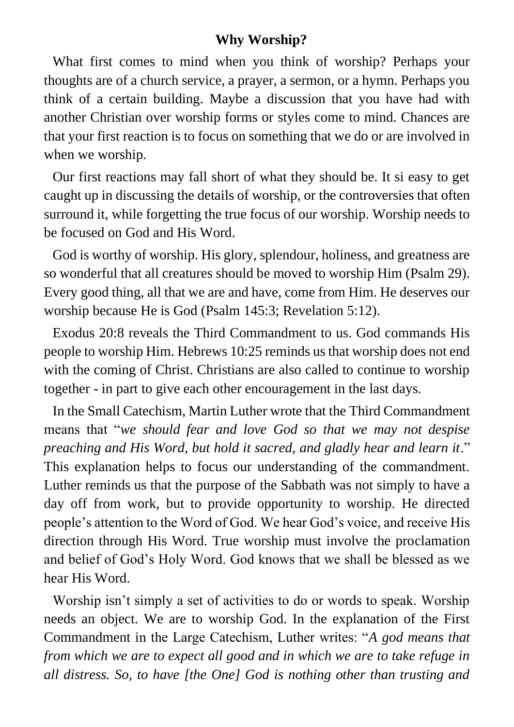#### **Why Worship?**

What first comes to mind when you think of worship? Perhaps your thoughts are of a church service, a prayer, a sermon, or a hymn. Perhaps you think of a certain building. Maybe a discussion that you have had with another Christian over worship forms or styles come to mind. Chances are that your first reaction is to focus on something that we do or are involved in when we worship.

Our first reactions may fall short of what they should be. It si easy to get caught up in discussing the details of worship, or the controversies that often surround it, while forgetting the true focus of our worship. Worship needs to be focused on God and His Word.

God is worthy of worship. His glory, splendour, holiness, and greatness are so wonderful that all creatures should be moved to worship Him (Psalm 29). Every good thing, all that we are and have, come from Him. He deserves our worship because He is God (Psalm 145:3; Revelation 5:12).

Exodus 20:8 reveals the Third Commandment to us. God commands His people to worship Him. Hebrews 10:25 reminds us that worship does not end with the coming of Christ. Christians are also called to continue to worship together - in part to give each other encouragement in the last days.

In the Small Catechism, Martin Luther wrote that the Third Commandment means that "*we should fear and love God so that we may not despise preaching and His Word, but hold it sacred, and gladly hear and learn it*." This explanation helps to focus our understanding of the commandment. Luther reminds us that the purpose of the Sabbath was not simply to have a day off from work, but to provide opportunity to worship. He directed people's attention to the Word of God. We hear God's voice, and receive His direction through His Word. True worship must involve the proclamation and belief of God's Holy Word. God knows that we shall be blessed as we hear His Word.

Worship isn't simply a set of activities to do or words to speak. Worship needs an object. We are to worship God. In the explanation of the First Commandment in the Large Catechism, Luther writes: "*A god means that from which we are to expect all good and in which we are to take refuge in all distress. So, to have [the One] God is nothing other than trusting and*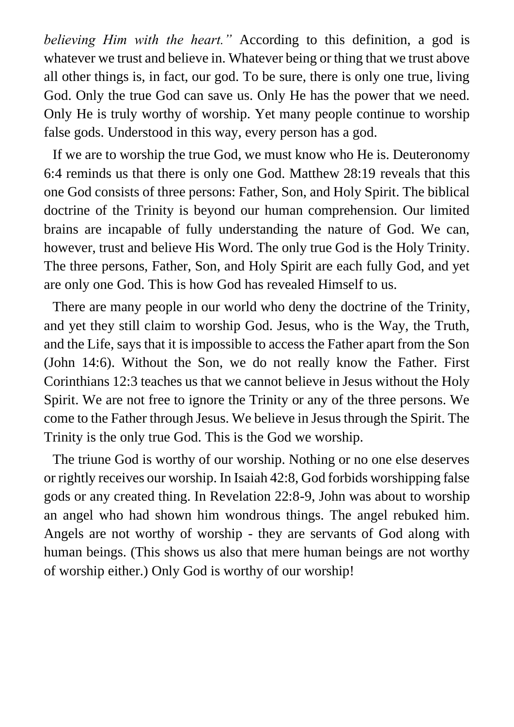*believing Him with the heart."* According to this definition, a god is whatever we trust and believe in. Whatever being or thing that we trust above all other things is, in fact, our god. To be sure, there is only one true, living God. Only the true God can save us. Only He has the power that we need. Only He is truly worthy of worship. Yet many people continue to worship false gods. Understood in this way, every person has a god.

If we are to worship the true God, we must know who He is. Deuteronomy 6:4 reminds us that there is only one God. Matthew 28:19 reveals that this one God consists of three persons: Father, Son, and Holy Spirit. The biblical doctrine of the Trinity is beyond our human comprehension. Our limited brains are incapable of fully understanding the nature of God. We can, however, trust and believe His Word. The only true God is the Holy Trinity. The three persons, Father, Son, and Holy Spirit are each fully God, and yet are only one God. This is how God has revealed Himself to us.

There are many people in our world who deny the doctrine of the Trinity, and yet they still claim to worship God. Jesus, who is the Way, the Truth, and the Life, says that it is impossible to access the Father apart from the Son (John 14:6). Without the Son, we do not really know the Father. First Corinthians 12:3 teaches us that we cannot believe in Jesus without the Holy Spirit. We are not free to ignore the Trinity or any of the three persons. We come to the Father through Jesus. We believe in Jesus through the Spirit. The Trinity is the only true God. This is the God we worship.

The triune God is worthy of our worship. Nothing or no one else deserves or rightly receives our worship. In Isaiah 42:8, God forbids worshipping false gods or any created thing. In Revelation 22:8-9, John was about to worship an angel who had shown him wondrous things. The angel rebuked him. Angels are not worthy of worship - they are servants of God along with human beings. (This shows us also that mere human beings are not worthy of worship either.) Only God is worthy of our worship!